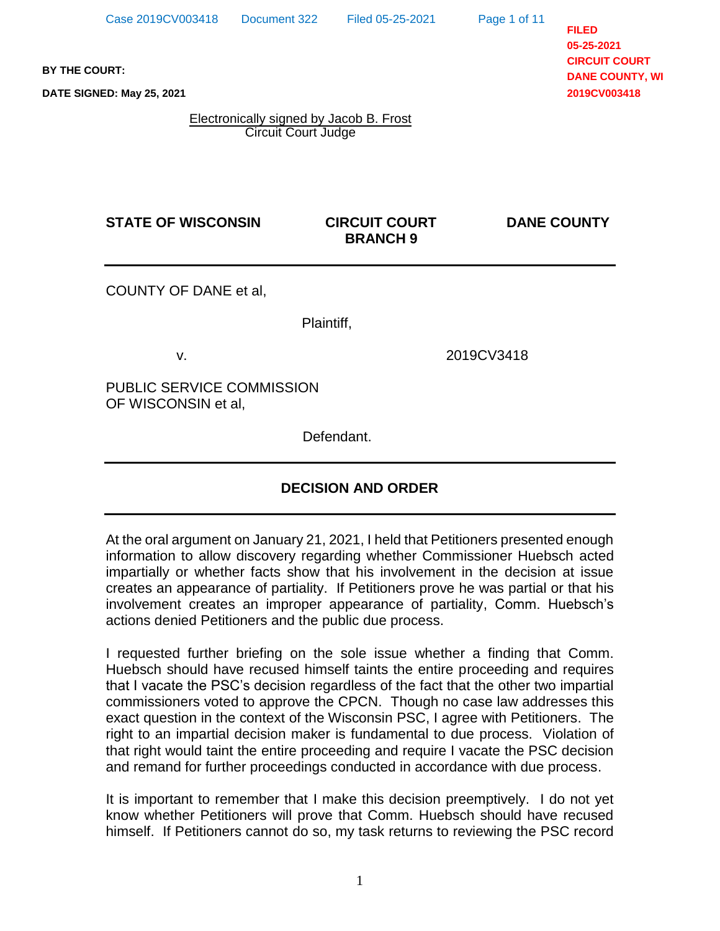Page 1 of 11

**FILED 05-25-2021 CIRCUIT COURT DANE COUNTY, WI 2019CV003418**

**BY THE COURT:**

**DATE SIGNED: May 25, 2021**

Electronically signed by Jacob B. Frost Circuit Court Judge

## **STATE OF WISCONSIN CIRCUIT COURT DANE COUNTY**

# **BRANCH 9**

COUNTY OF DANE et al,

Plaintiff,

v. 2019CV3418

PUBLIC SERVICE COMMISSION OF WISCONSIN et al,

Defendant.

# **DECISION AND ORDER**

At the oral argument on January 21, 2021, I held that Petitioners presented enough information to allow discovery regarding whether Commissioner Huebsch acted impartially or whether facts show that his involvement in the decision at issue creates an appearance of partiality. If Petitioners prove he was partial or that his involvement creates an improper appearance of partiality, Comm. Huebsch's actions denied Petitioners and the public due process.

I requested further briefing on the sole issue whether a finding that Comm. Huebsch should have recused himself taints the entire proceeding and requires that I vacate the PSC's decision regardless of the fact that the other two impartial commissioners voted to approve the CPCN. Though no case law addresses this exact question in the context of the Wisconsin PSC, I agree with Petitioners. The right to an impartial decision maker is fundamental to due process. Violation of that right would taint the entire proceeding and require I vacate the PSC decision and remand for further proceedings conducted in accordance with due process.

It is important to remember that I make this decision preemptively. I do not yet know whether Petitioners will prove that Comm. Huebsch should have recused himself. If Petitioners cannot do so, my task returns to reviewing the PSC record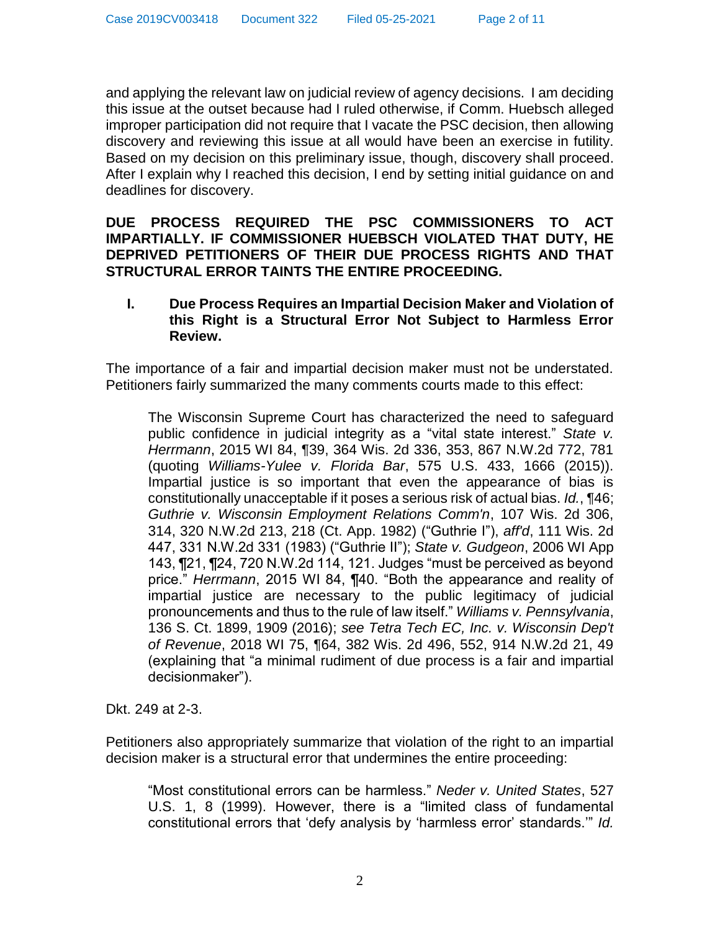and applying the relevant law on judicial review of agency decisions. I am deciding this issue at the outset because had I ruled otherwise, if Comm. Huebsch alleged improper participation did not require that I vacate the PSC decision, then allowing discovery and reviewing this issue at all would have been an exercise in futility. Based on my decision on this preliminary issue, though, discovery shall proceed. After I explain why I reached this decision, I end by setting initial guidance on and deadlines for discovery.

**DUE PROCESS REQUIRED THE PSC COMMISSIONERS TO ACT IMPARTIALLY. IF COMMISSIONER HUEBSCH VIOLATED THAT DUTY, HE DEPRIVED PETITIONERS OF THEIR DUE PROCESS RIGHTS AND THAT STRUCTURAL ERROR TAINTS THE ENTIRE PROCEEDING.**

#### **I. Due Process Requires an Impartial Decision Maker and Violation of this Right is a Structural Error Not Subject to Harmless Error Review.**

The importance of a fair and impartial decision maker must not be understated. Petitioners fairly summarized the many comments courts made to this effect:

The Wisconsin Supreme Court has characterized the need to safeguard public confidence in judicial integrity as a "vital state interest." *State v. Herrmann*, 2015 WI 84, ¶39, 364 Wis. 2d 336, 353, 867 N.W.2d 772, 781 (quoting *Williams-Yulee v. Florida Bar*, 575 U.S. 433, 1666 (2015)). Impartial justice is so important that even the appearance of bias is constitutionally unacceptable if it poses a serious risk of actual bias. *Id.*, ¶46; *Guthrie v. Wisconsin Employment Relations Comm'n*, 107 Wis. 2d 306, 314, 320 N.W.2d 213, 218 (Ct. App. 1982) ("Guthrie I"), *aff'd*, 111 Wis. 2d 447, 331 N.W.2d 331 (1983) ("Guthrie II"); *State v. Gudgeon*, 2006 WI App 143, ¶21, ¶24, 720 N.W.2d 114, 121. Judges "must be perceived as beyond price." *Herrmann*, 2015 WI 84, ¶40. "Both the appearance and reality of impartial justice are necessary to the public legitimacy of judicial pronouncements and thus to the rule of law itself." *Williams v. Pennsylvania*, 136 S. Ct. 1899, 1909 (2016); *see Tetra Tech EC, Inc. v. Wisconsin Dep't of Revenue*, 2018 WI 75, ¶64, 382 Wis. 2d 496, 552, 914 N.W.2d 21, 49 (explaining that "a minimal rudiment of due process is a fair and impartial decisionmaker").

Dkt. 249 at 2-3.

Petitioners also appropriately summarize that violation of the right to an impartial decision maker is a structural error that undermines the entire proceeding:

"Most constitutional errors can be harmless." *Neder v. United States*, 527 U.S. 1, 8 (1999). However, there is a "limited class of fundamental constitutional errors that 'defy analysis by 'harmless error' standards.'" *Id.*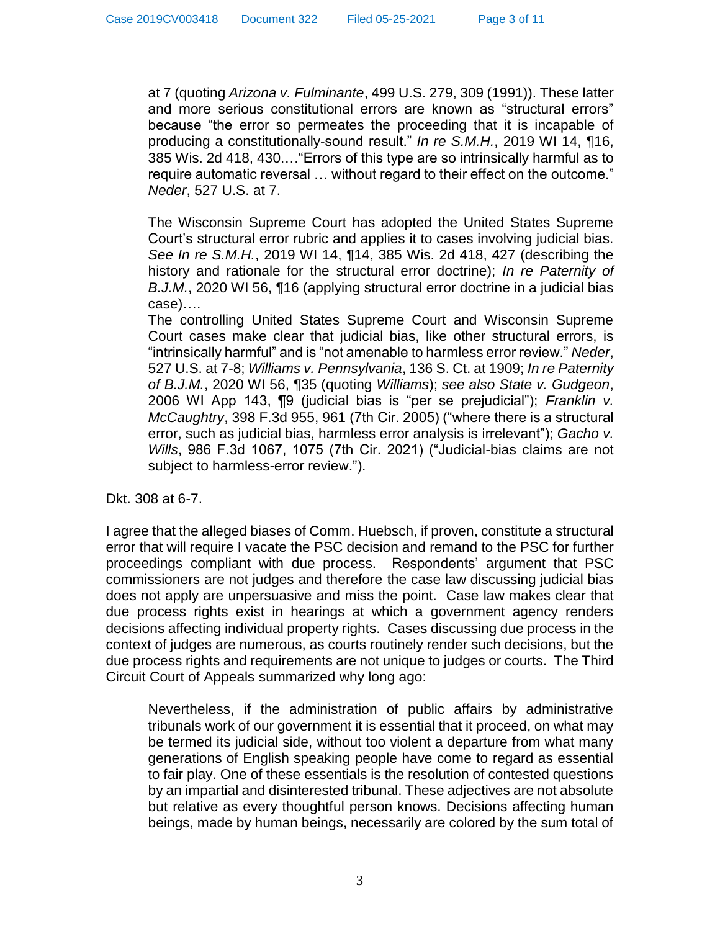at 7 (quoting *Arizona v. Fulminante*, 499 U.S. 279, 309 (1991)). These latter and more serious constitutional errors are known as "structural errors" because "the error so permeates the proceeding that it is incapable of producing a constitutionally-sound result." *In re S.M.H.*, 2019 WI 14, ¶16, 385 Wis. 2d 418, 430.…"Errors of this type are so intrinsically harmful as to require automatic reversal … without regard to their effect on the outcome." *Neder*, 527 U.S. at 7.

The Wisconsin Supreme Court has adopted the United States Supreme Court's structural error rubric and applies it to cases involving judicial bias. *See In re S.M.H.*, 2019 WI 14, ¶14, 385 Wis. 2d 418, 427 (describing the history and rationale for the structural error doctrine); *In re Paternity of B.J.M.*, 2020 WI 56, ¶16 (applying structural error doctrine in a judicial bias case)….

The controlling United States Supreme Court and Wisconsin Supreme Court cases make clear that judicial bias, like other structural errors, is "intrinsically harmful" and is "not amenable to harmless error review." *Neder*, 527 U.S. at 7-8; *Williams v. Pennsylvania*, 136 S. Ct. at 1909; *In re Paternity of B.J.M.*, 2020 WI 56, ¶35 (quoting *Williams*); *see also State v. Gudgeon*, 2006 WI App 143, ¶9 (judicial bias is "per se prejudicial"); *Franklin v. McCaughtry*, 398 F.3d 955, 961 (7th Cir. 2005) ("where there is a structural error, such as judicial bias, harmless error analysis is irrelevant"); *Gacho v. Wills*, 986 F.3d 1067, 1075 (7th Cir. 2021) ("Judicial-bias claims are not subject to harmless-error review.").

Dkt. 308 at 6-7.

I agree that the alleged biases of Comm. Huebsch, if proven, constitute a structural error that will require I vacate the PSC decision and remand to the PSC for further proceedings compliant with due process. Respondents' argument that PSC commissioners are not judges and therefore the case law discussing judicial bias does not apply are unpersuasive and miss the point. Case law makes clear that due process rights exist in hearings at which a government agency renders decisions affecting individual property rights. Cases discussing due process in the context of judges are numerous, as courts routinely render such decisions, but the due process rights and requirements are not unique to judges or courts. The Third Circuit Court of Appeals summarized why long ago:

Nevertheless, if the administration of public affairs by administrative tribunals work of our government it is essential that it proceed, on what may be termed its judicial side, without too violent a departure from what many generations of English speaking people have come to regard as essential to fair play. One of these essentials is the resolution of contested questions by an impartial and disinterested tribunal. These adjectives are not absolute but relative as every thoughtful person knows. Decisions affecting human beings, made by human beings, necessarily are colored by the sum total of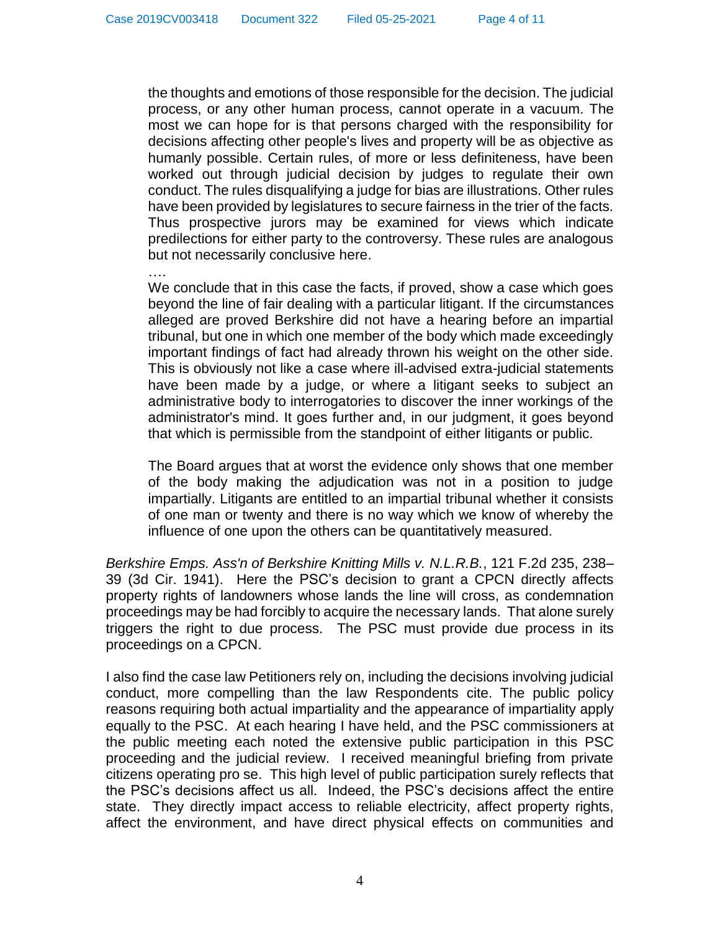the thoughts and emotions of those responsible for the decision. The judicial process, or any other human process, cannot operate in a vacuum. The most we can hope for is that persons charged with the responsibility for decisions affecting other people's lives and property will be as objective as humanly possible. Certain rules, of more or less definiteness, have been worked out through judicial decision by judges to regulate their own conduct. The rules disqualifying a judge for bias are illustrations. Other rules have been provided by legislatures to secure fairness in the trier of the facts. Thus prospective jurors may be examined for views which indicate predilections for either party to the controversy. These rules are analogous but not necessarily conclusive here.

….

We conclude that in this case the facts, if proved, show a case which goes beyond the line of fair dealing with a particular litigant. If the circumstances alleged are proved Berkshire did not have a hearing before an impartial tribunal, but one in which one member of the body which made exceedingly important findings of fact had already thrown his weight on the other side. This is obviously not like a case where ill-advised extra-judicial statements have been made by a judge, or where a litigant seeks to subject an administrative body to interrogatories to discover the inner workings of the administrator's mind. It goes further and, in our judgment, it goes beyond that which is permissible from the standpoint of either litigants or public.

The Board argues that at worst the evidence only shows that one member of the body making the adjudication was not in a position to judge impartially. Litigants are entitled to an impartial tribunal whether it consists of one man or twenty and there is no way which we know of whereby the influence of one upon the others can be quantitatively measured.

*Berkshire Emps. Ass'n of Berkshire Knitting Mills v. N.L.R.B.*, 121 F.2d 235, 238– 39 (3d Cir. 1941). Here the PSC's decision to grant a CPCN directly affects property rights of landowners whose lands the line will cross, as condemnation proceedings may be had forcibly to acquire the necessary lands. That alone surely triggers the right to due process. The PSC must provide due process in its proceedings on a CPCN.

I also find the case law Petitioners rely on, including the decisions involving judicial conduct, more compelling than the law Respondents cite. The public policy reasons requiring both actual impartiality and the appearance of impartiality apply equally to the PSC. At each hearing I have held, and the PSC commissioners at the public meeting each noted the extensive public participation in this PSC proceeding and the judicial review. I received meaningful briefing from private citizens operating pro se. This high level of public participation surely reflects that the PSC's decisions affect us all. Indeed, the PSC's decisions affect the entire state. They directly impact access to reliable electricity, affect property rights, affect the environment, and have direct physical effects on communities and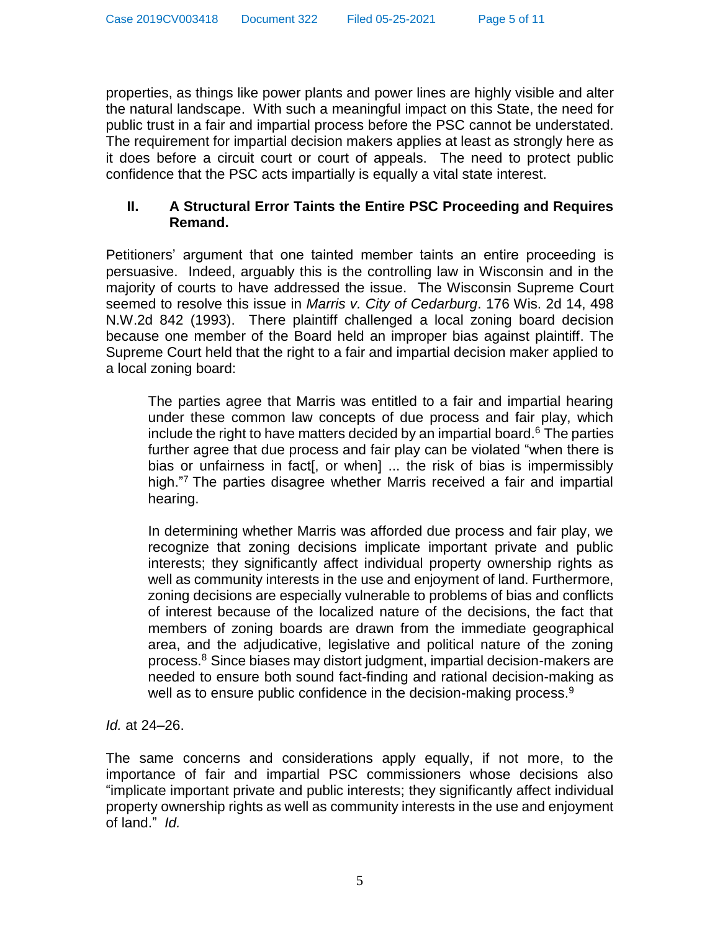properties, as things like power plants and power lines are highly visible and alter the natural landscape. With such a meaningful impact on this State, the need for public trust in a fair and impartial process before the PSC cannot be understated. The requirement for impartial decision makers applies at least as strongly here as it does before a circuit court or court of appeals. The need to protect public confidence that the PSC acts impartially is equally a vital state interest.

## **II. A Structural Error Taints the Entire PSC Proceeding and Requires Remand.**

Petitioners' argument that one tainted member taints an entire proceeding is persuasive. Indeed, arguably this is the controlling law in Wisconsin and in the majority of courts to have addressed the issue. The Wisconsin Supreme Court seemed to resolve this issue in *Marris v. City of Cedarburg*. 176 Wis. 2d 14, 498 N.W.2d 842 (1993). There plaintiff challenged a local zoning board decision because one member of the Board held an improper bias against plaintiff. The Supreme Court held that the right to a fair and impartial decision maker applied to a local zoning board:

The parties agree that Marris was entitled to a fair and impartial hearing under these common law concepts of due process and fair play, which include the right to have matters decided by an impartial board. $6$  The parties further agree that due process and fair play can be violated "when there is bias or unfairness in fact[, or when] ... the risk of bias is impermissibly high."<sup>7</sup> The parties disagree whether Marris received a fair and impartial hearing.

In determining whether Marris was afforded due process and fair play, we recognize that zoning decisions implicate important private and public interests; they significantly affect individual property ownership rights as well as community interests in the use and enjoyment of land. Furthermore, zoning decisions are especially vulnerable to problems of bias and conflicts of interest because of the localized nature of the decisions, the fact that members of zoning boards are drawn from the immediate geographical area, and the adjudicative, legislative and political nature of the zoning process.<sup>8</sup> Since biases may distort judgment, impartial decision-makers are needed to ensure both sound fact-finding and rational decision-making as well as to ensure public confidence in the decision-making process.<sup>9</sup>

*Id.* at 24–26.

The same concerns and considerations apply equally, if not more, to the importance of fair and impartial PSC commissioners whose decisions also "implicate important private and public interests; they significantly affect individual property ownership rights as well as community interests in the use and enjoyment of land." *Id.*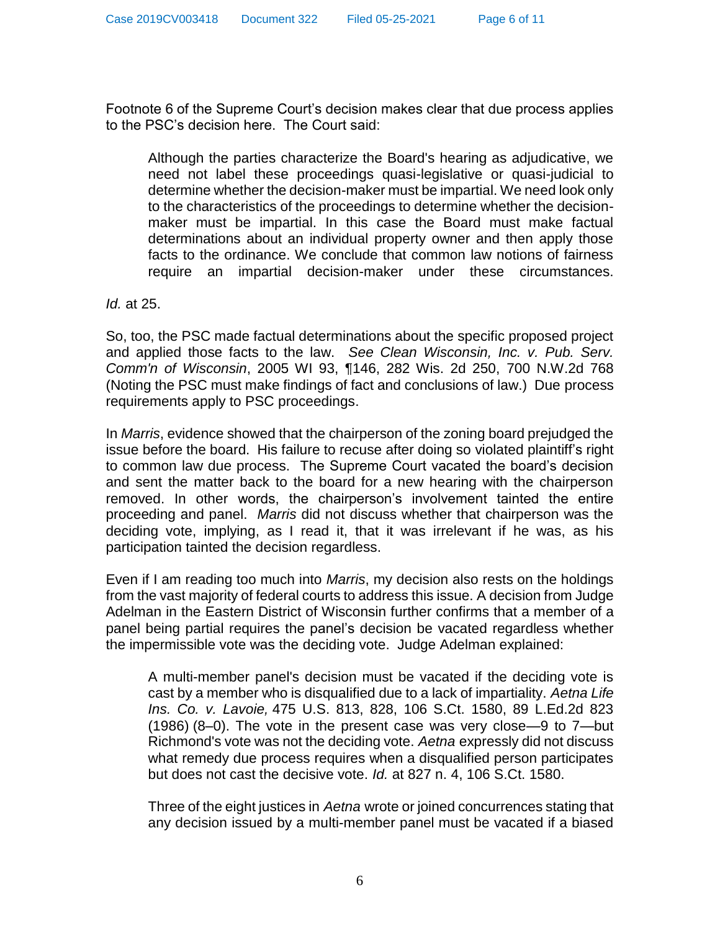Footnote 6 of the Supreme Court's decision makes clear that due process applies to the PSC's decision here. The Court said:

Although the parties characterize the Board's hearing as adjudicative, we need not label these proceedings quasi-legislative or quasi-judicial to determine whether the decision-maker must be impartial. We need look only to the characteristics of the proceedings to determine whether the decisionmaker must be impartial. In this case the Board must make factual determinations about an individual property owner and then apply those facts to the ordinance. We conclude that common law notions of fairness require an impartial decision-maker under these circumstances.

*Id.* at 25.

So, too, the PSC made factual determinations about the specific proposed project and applied those facts to the law. *See Clean Wisconsin, Inc. v. Pub. Serv. Comm'n of Wisconsin*, 2005 WI 93, ¶146, 282 Wis. 2d 250, 700 N.W.2d 768 (Noting the PSC must make findings of fact and conclusions of law.) Due process requirements apply to PSC proceedings.

In *Marris*, evidence showed that the chairperson of the zoning board prejudged the issue before the board. His failure to recuse after doing so violated plaintiff's right to common law due process. The Supreme Court vacated the board's decision and sent the matter back to the board for a new hearing with the chairperson removed. In other words, the chairperson's involvement tainted the entire proceeding and panel. *Marris* did not discuss whether that chairperson was the deciding vote, implying, as I read it, that it was irrelevant if he was, as his participation tainted the decision regardless.

Even if I am reading too much into *Marris*, my decision also rests on the holdings from the vast majority of federal courts to address this issue. A decision from Judge Adelman in the Eastern District of Wisconsin further confirms that a member of a panel being partial requires the panel's decision be vacated regardless whether the impermissible vote was the deciding vote. Judge Adelman explained:

A multi-member panel's decision must be vacated if the deciding vote is cast by a member who is disqualified due to a lack of impartiality. *Aetna Life Ins. Co. v. Lavoie,* 475 U.S. 813, 828, 106 S.Ct. 1580, 89 L.Ed.2d 823 (1986) (8–0). The vote in the present case was very close—9 to 7—but Richmond's vote was not the deciding vote. *Aetna* expressly did not discuss what remedy due process requires when a disqualified person participates but does not cast the decisive vote. *Id.* at 827 n. 4, 106 S.Ct. 1580.

Three of the eight justices in *Aetna* wrote or joined concurrences stating that any decision issued by a multi-member panel must be vacated if a biased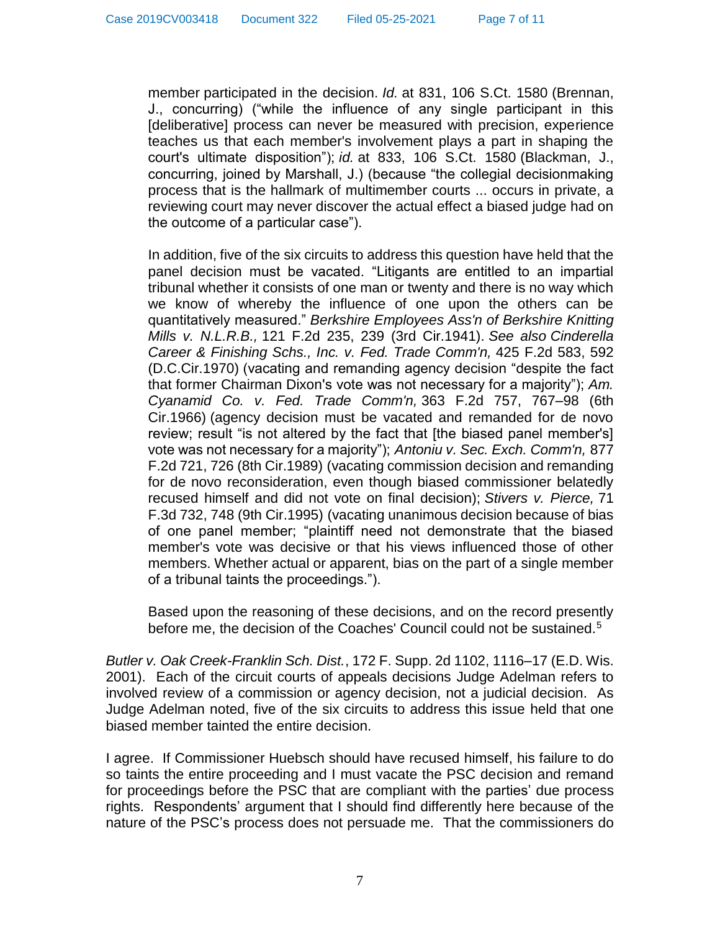member participated in the decision. *Id.* at 831, 106 S.Ct. 1580 (Brennan, J., concurring) ("while the influence of any single participant in this [deliberative] process can never be measured with precision, experience teaches us that each member's involvement plays a part in shaping the court's ultimate disposition"); *id.* at 833, 106 S.Ct. 1580 (Blackman, J., concurring, joined by Marshall, J.) (because "the collegial decisionmaking process that is the hallmark of multimember courts ... occurs in private, a reviewing court may never discover the actual effect a biased judge had on the outcome of a particular case").

In addition, five of the six circuits to address this question have held that the panel decision must be vacated. "Litigants are entitled to an impartial tribunal whether it consists of one man or twenty and there is no way which we know of whereby the influence of one upon the others can be quantitatively measured." *Berkshire Employees Ass'n of Berkshire Knitting Mills v. N.L.R.B.,* 121 F.2d 235, 239 (3rd Cir.1941). *See also Cinderella Career & Finishing Schs., Inc. v. Fed. Trade Comm'n,* 425 F.2d 583, 592 (D.C.Cir.1970) (vacating and remanding agency decision "despite the fact that former Chairman Dixon's vote was not necessary for a majority"); *Am. Cyanamid Co. v. Fed. Trade Comm'n,* 363 F.2d 757, 767–98 (6th Cir.1966) (agency decision must be vacated and remanded for de novo review; result "is not altered by the fact that [the biased panel member's] vote was not necessary for a majority"); *Antoniu v. Sec. Exch. Comm'n,* 877 F.2d 721, 726 (8th Cir.1989) (vacating commission decision and remanding for de novo reconsideration, even though biased commissioner belatedly recused himself and did not vote on final decision); *Stivers v. Pierce,* 71 F.3d 732, 748 (9th Cir.1995) (vacating unanimous decision because of bias of one panel member; "plaintiff need not demonstrate that the biased member's vote was decisive or that his views influenced those of other members. Whether actual or apparent, bias on the part of a single member of a tribunal taints the proceedings.").

Based upon the reasoning of these decisions, and on the record presently before me, the decision of the Coaches' Council could not be sustained.<sup>5</sup>

*Butler v. Oak Creek-Franklin Sch. Dist.*, 172 F. Supp. 2d 1102, 1116–17 (E.D. Wis. 2001). Each of the circuit courts of appeals decisions Judge Adelman refers to involved review of a commission or agency decision, not a judicial decision. As Judge Adelman noted, five of the six circuits to address this issue held that one biased member tainted the entire decision.

I agree. If Commissioner Huebsch should have recused himself, his failure to do so taints the entire proceeding and I must vacate the PSC decision and remand for proceedings before the PSC that are compliant with the parties' due process rights. Respondents' argument that I should find differently here because of the nature of the PSC's process does not persuade me. That the commissioners do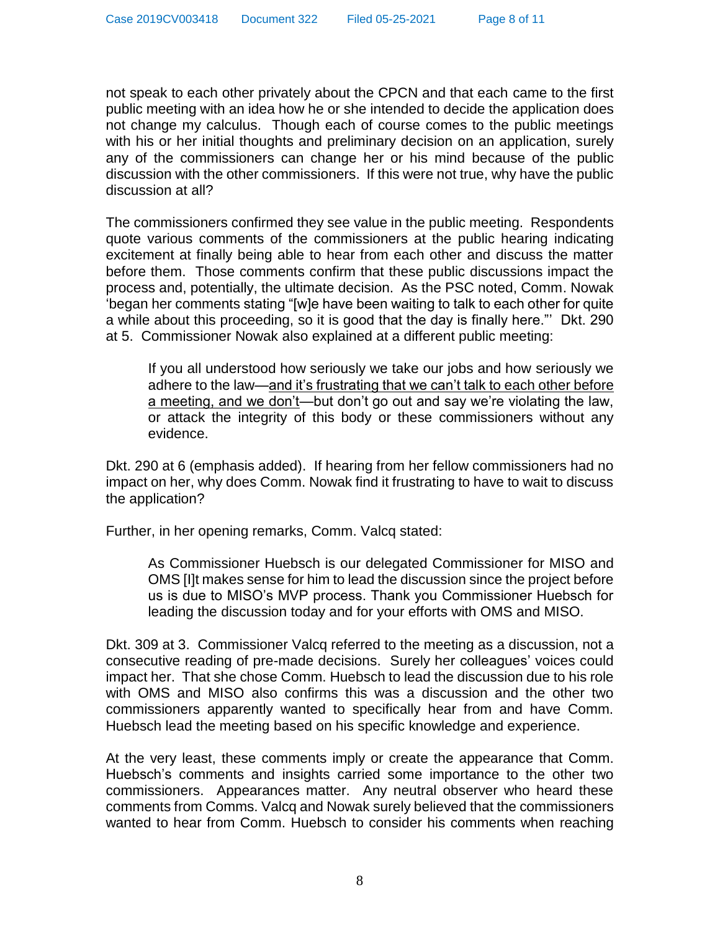not speak to each other privately about the CPCN and that each came to the first public meeting with an idea how he or she intended to decide the application does not change my calculus. Though each of course comes to the public meetings with his or her initial thoughts and preliminary decision on an application, surely any of the commissioners can change her or his mind because of the public discussion with the other commissioners. If this were not true, why have the public discussion at all?

The commissioners confirmed they see value in the public meeting. Respondents quote various comments of the commissioners at the public hearing indicating excitement at finally being able to hear from each other and discuss the matter before them. Those comments confirm that these public discussions impact the process and, potentially, the ultimate decision. As the PSC noted, Comm. Nowak 'began her comments stating "[w]e have been waiting to talk to each other for quite a while about this proceeding, so it is good that the day is finally here."' Dkt. 290 at 5. Commissioner Nowak also explained at a different public meeting:

If you all understood how seriously we take our jobs and how seriously we adhere to the law—and it's frustrating that we can't talk to each other before a meeting, and we don't—but don't go out and say we're violating the law, or attack the integrity of this body or these commissioners without any evidence.

Dkt. 290 at 6 (emphasis added). If hearing from her fellow commissioners had no impact on her, why does Comm. Nowak find it frustrating to have to wait to discuss the application?

Further, in her opening remarks, Comm. Valcq stated:

As Commissioner Huebsch is our delegated Commissioner for MISO and OMS [I]t makes sense for him to lead the discussion since the project before us is due to MISO's MVP process. Thank you Commissioner Huebsch for leading the discussion today and for your efforts with OMS and MISO.

Dkt. 309 at 3. Commissioner Valcq referred to the meeting as a discussion, not a consecutive reading of pre-made decisions. Surely her colleagues' voices could impact her. That she chose Comm. Huebsch to lead the discussion due to his role with OMS and MISO also confirms this was a discussion and the other two commissioners apparently wanted to specifically hear from and have Comm. Huebsch lead the meeting based on his specific knowledge and experience.

At the very least, these comments imply or create the appearance that Comm. Huebsch's comments and insights carried some importance to the other two commissioners. Appearances matter. Any neutral observer who heard these comments from Comms. Valcq and Nowak surely believed that the commissioners wanted to hear from Comm. Huebsch to consider his comments when reaching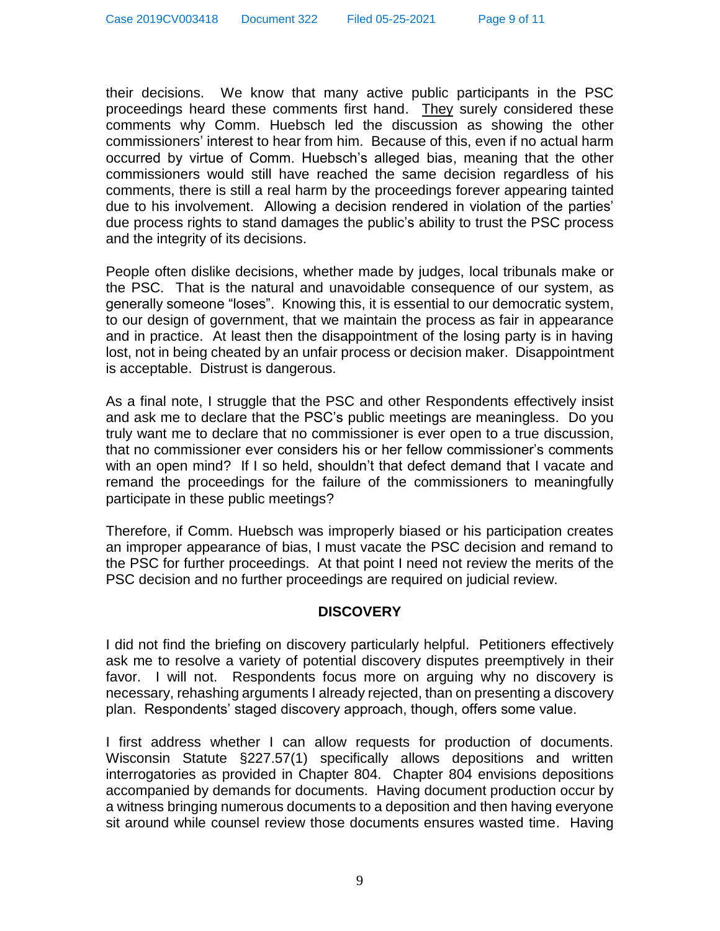their decisions. We know that many active public participants in the PSC proceedings heard these comments first hand. They surely considered these comments why Comm. Huebsch led the discussion as showing the other commissioners' interest to hear from him. Because of this, even if no actual harm occurred by virtue of Comm. Huebsch's alleged bias, meaning that the other commissioners would still have reached the same decision regardless of his comments, there is still a real harm by the proceedings forever appearing tainted due to his involvement. Allowing a decision rendered in violation of the parties' due process rights to stand damages the public's ability to trust the PSC process and the integrity of its decisions.

People often dislike decisions, whether made by judges, local tribunals make or the PSC. That is the natural and unavoidable consequence of our system, as generally someone "loses". Knowing this, it is essential to our democratic system, to our design of government, that we maintain the process as fair in appearance and in practice. At least then the disappointment of the losing party is in having lost, not in being cheated by an unfair process or decision maker. Disappointment is acceptable. Distrust is dangerous.

As a final note, I struggle that the PSC and other Respondents effectively insist and ask me to declare that the PSC's public meetings are meaningless. Do you truly want me to declare that no commissioner is ever open to a true discussion, that no commissioner ever considers his or her fellow commissioner's comments with an open mind? If I so held, shouldn't that defect demand that I vacate and remand the proceedings for the failure of the commissioners to meaningfully participate in these public meetings?

Therefore, if Comm. Huebsch was improperly biased or his participation creates an improper appearance of bias, I must vacate the PSC decision and remand to the PSC for further proceedings. At that point I need not review the merits of the PSC decision and no further proceedings are required on judicial review.

#### **DISCOVERY**

I did not find the briefing on discovery particularly helpful. Petitioners effectively ask me to resolve a variety of potential discovery disputes preemptively in their favor. I will not. Respondents focus more on arguing why no discovery is necessary, rehashing arguments I already rejected, than on presenting a discovery plan. Respondents' staged discovery approach, though, offers some value.

I first address whether I can allow requests for production of documents. Wisconsin Statute §227.57(1) specifically allows depositions and written interrogatories as provided in Chapter 804. Chapter 804 envisions depositions accompanied by demands for documents. Having document production occur by a witness bringing numerous documents to a deposition and then having everyone sit around while counsel review those documents ensures wasted time. Having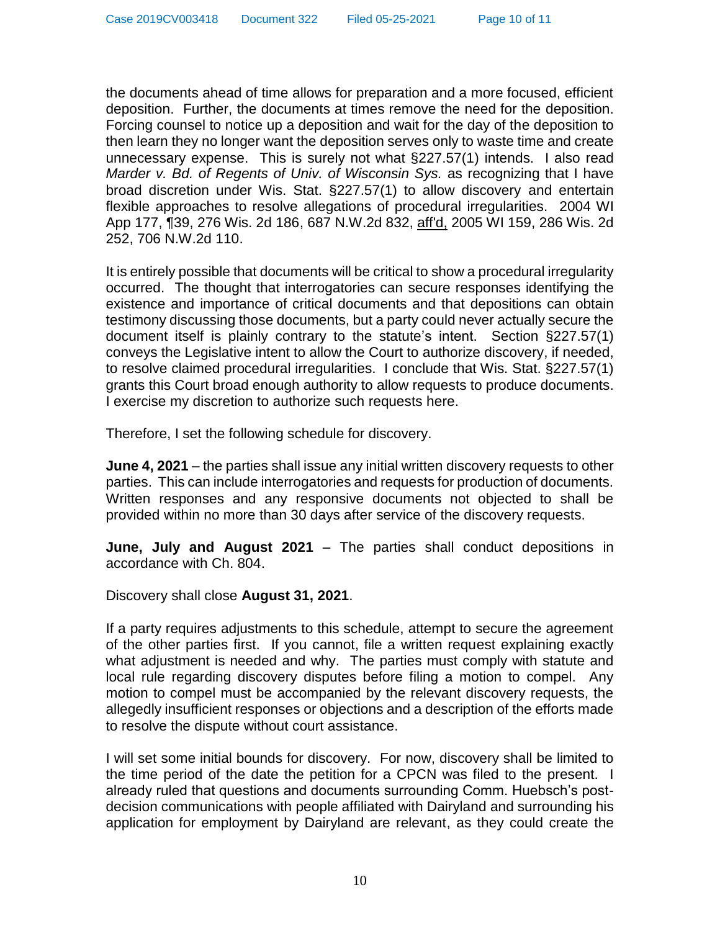the documents ahead of time allows for preparation and a more focused, efficient deposition. Further, the documents at times remove the need for the deposition. Forcing counsel to notice up a deposition and wait for the day of the deposition to then learn they no longer want the deposition serves only to waste time and create unnecessary expense. This is surely not what §227.57(1) intends. I also read *Marder v. Bd. of Regents of Univ. of Wisconsin Sys.* as recognizing that I have broad discretion under Wis. Stat. §227.57(1) to allow discovery and entertain flexible approaches to resolve allegations of procedural irregularities. 2004 WI App 177, ¶39, 276 Wis. 2d 186, 687 N.W.2d 832, aff'd, 2005 WI 159, 286 Wis. 2d 252, 706 N.W.2d 110.

It is entirely possible that documents will be critical to show a procedural irregularity occurred. The thought that interrogatories can secure responses identifying the existence and importance of critical documents and that depositions can obtain testimony discussing those documents, but a party could never actually secure the document itself is plainly contrary to the statute's intent. Section §227.57(1) conveys the Legislative intent to allow the Court to authorize discovery, if needed, to resolve claimed procedural irregularities. I conclude that Wis. Stat. §227.57(1) grants this Court broad enough authority to allow requests to produce documents. I exercise my discretion to authorize such requests here.

Therefore, I set the following schedule for discovery.

**June 4, 2021** – the parties shall issue any initial written discovery requests to other parties. This can include interrogatories and requests for production of documents. Written responses and any responsive documents not objected to shall be provided within no more than 30 days after service of the discovery requests.

**June, July and August 2021** – The parties shall conduct depositions in accordance with Ch. 804.

Discovery shall close **August 31, 2021**.

If a party requires adjustments to this schedule, attempt to secure the agreement of the other parties first. If you cannot, file a written request explaining exactly what adjustment is needed and why. The parties must comply with statute and local rule regarding discovery disputes before filing a motion to compel. Any motion to compel must be accompanied by the relevant discovery requests, the allegedly insufficient responses or objections and a description of the efforts made to resolve the dispute without court assistance.

I will set some initial bounds for discovery. For now, discovery shall be limited to the time period of the date the petition for a CPCN was filed to the present. I already ruled that questions and documents surrounding Comm. Huebsch's postdecision communications with people affiliated with Dairyland and surrounding his application for employment by Dairyland are relevant, as they could create the